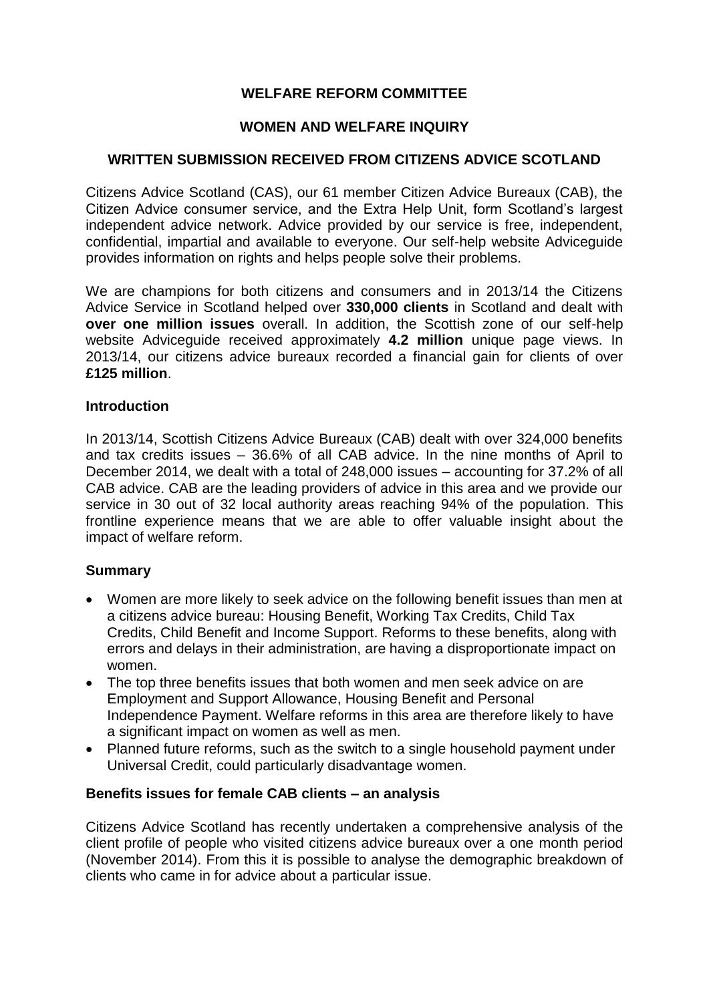# **WELFARE REFORM COMMITTEE**

## **WOMEN AND WELFARE INQUIRY**

# **WRITTEN SUBMISSION RECEIVED FROM CITIZENS ADVICE SCOTLAND**

Citizens Advice Scotland (CAS), our 61 member Citizen Advice Bureaux (CAB), the Citizen Advice consumer service, and the Extra Help Unit, form Scotland's largest independent advice network. Advice provided by our service is free, independent, confidential, impartial and available to everyone. Our self-help website Adviceguide provides information on rights and helps people solve their problems.

We are champions for both citizens and consumers and in 2013/14 the Citizens Advice Service in Scotland helped over **330,000 clients** in Scotland and dealt with **over one million issues** overall. In addition, the Scottish zone of our self-help website Adviceguide received approximately **4.2 million** unique page views. In 2013/14, our citizens advice bureaux recorded a financial gain for clients of over **£125 million**.

#### **Introduction**

In 2013/14, Scottish Citizens Advice Bureaux (CAB) dealt with over 324,000 benefits and tax credits issues – 36.6% of all CAB advice. In the nine months of April to December 2014, we dealt with a total of 248,000 issues – accounting for 37.2% of all CAB advice. CAB are the leading providers of advice in this area and we provide our service in 30 out of 32 local authority areas reaching 94% of the population. This frontline experience means that we are able to offer valuable insight about the impact of welfare reform.

### **Summary**

- Women are more likely to seek advice on the following benefit issues than men at a citizens advice bureau: Housing Benefit, Working Tax Credits, Child Tax Credits, Child Benefit and Income Support. Reforms to these benefits, along with errors and delays in their administration, are having a disproportionate impact on women.
- The top three benefits issues that both women and men seek advice on are Employment and Support Allowance, Housing Benefit and Personal Independence Payment. Welfare reforms in this area are therefore likely to have a significant impact on women as well as men.
- Planned future reforms, such as the switch to a single household payment under Universal Credit, could particularly disadvantage women.

#### **Benefits issues for female CAB clients – an analysis**

Citizens Advice Scotland has recently undertaken a comprehensive analysis of the client profile of people who visited citizens advice bureaux over a one month period (November 2014). From this it is possible to analyse the demographic breakdown of clients who came in for advice about a particular issue.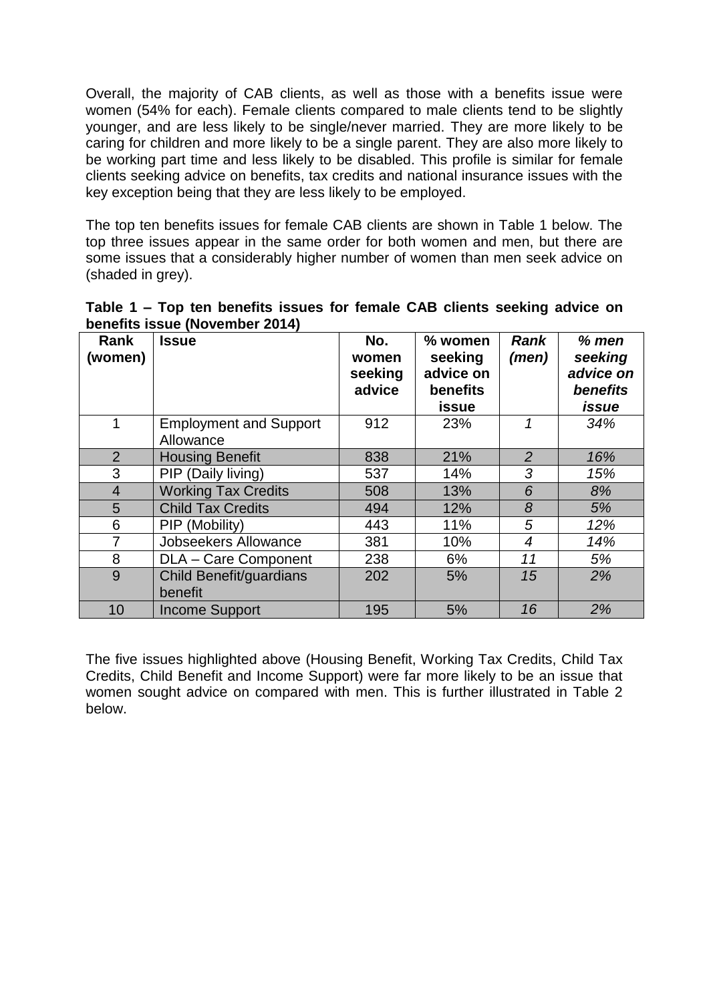Overall, the majority of CAB clients, as well as those with a benefits issue were women (54% for each). Female clients compared to male clients tend to be slightly younger, and are less likely to be single/never married. They are more likely to be caring for children and more likely to be a single parent. They are also more likely to be working part time and less likely to be disabled. This profile is similar for female clients seeking advice on benefits, tax credits and national insurance issues with the key exception being that they are less likely to be employed.

The top ten benefits issues for female CAB clients are shown in Table 1 below. The top three issues appear in the same order for both women and men, but there are some issues that a considerably higher number of women than men seek advice on (shaded in grey).

| Table 1 – Top ten benefits issues for female CAB clients seeking advice on |  |  |  |  |
|----------------------------------------------------------------------------|--|--|--|--|
| benefits issue (November 2014)                                             |  |  |  |  |

| Rank<br>(women) | <b>Issue</b>                               | No.<br>women<br>seeking<br>advice | % women<br>seeking<br>advice on<br>benefits<br>issue | <b>Rank</b><br>(men) | $%$ men<br>seeking<br>advice on<br><b>benefits</b><br>issue |
|-----------------|--------------------------------------------|-----------------------------------|------------------------------------------------------|----------------------|-------------------------------------------------------------|
| $\mathbf 1$     | <b>Employment and Support</b><br>Allowance | 912                               | 23%                                                  | 1                    | 34%                                                         |
| 2               | <b>Housing Benefit</b>                     | 838                               | 21%                                                  | $\overline{2}$       | 16%                                                         |
| 3               | PIP (Daily living)                         | 537                               | 14%                                                  | 3                    | 15%                                                         |
| $\overline{4}$  | <b>Working Tax Credits</b>                 | 508                               | 13%                                                  | 6                    | 8%                                                          |
| 5               | <b>Child Tax Credits</b>                   | 494                               | 12%                                                  | 8                    | 5%                                                          |
| 6               | PIP (Mobility)                             | 443                               | 11%                                                  | 5                    | 12%                                                         |
| 7               | <b>Jobseekers Allowance</b>                | 381                               | 10%                                                  | $\overline{4}$       | 14%                                                         |
| 8               | DLA - Care Component                       | 238                               | 6%                                                   | 11                   | 5%                                                          |
| 9               | Child Benefit/guardians<br>benefit         | 202                               | 5%                                                   | 15                   | 2%                                                          |
| 10              | <b>Income Support</b>                      | 195                               | 5%                                                   | 16                   | 2%                                                          |

The five issues highlighted above (Housing Benefit, Working Tax Credits, Child Tax Credits, Child Benefit and Income Support) were far more likely to be an issue that women sought advice on compared with men. This is further illustrated in Table 2 below.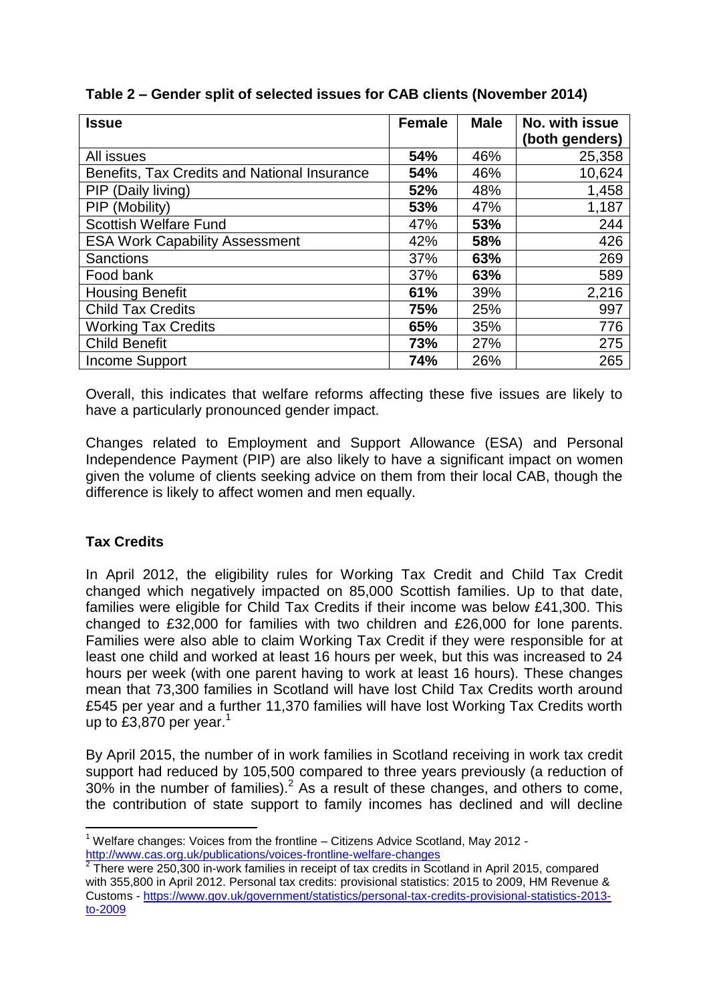| <b>Issue</b>                                 | <b>Female</b> | <b>Male</b> | No. with issue |
|----------------------------------------------|---------------|-------------|----------------|
|                                              |               |             | (both genders) |
| All issues                                   | 54%           | 46%         | 25,358         |
| Benefits, Tax Credits and National Insurance | 54%           | 46%         | 10,624         |
| PIP (Daily living)                           | 52%           | 48%         | 1,458          |
| PIP (Mobility)                               | 53%           | 47%         | 1,187          |
| <b>Scottish Welfare Fund</b>                 | 47%           | 53%         | 244            |
| <b>ESA Work Capability Assessment</b>        | 42%           | 58%         | 426            |
| <b>Sanctions</b>                             | 37%           | 63%         | 269            |
| Food bank                                    | 37%           | 63%         | 589            |
| <b>Housing Benefit</b>                       | 61%           | 39%         | 2,216          |
| <b>Child Tax Credits</b>                     | 75%           | 25%         | 997            |
| <b>Working Tax Credits</b>                   | 65%           | 35%         | 776            |
| <b>Child Benefit</b>                         | 73%           | 27%         | 275            |
| Income Support                               | 74%           | 26%         | 265            |

Overall, this indicates that welfare reforms affecting these five issues are likely to have a particularly pronounced gender impact.

Changes related to Employment and Support Allowance (ESA) and Personal Independence Payment (PIP) are also likely to have a significant impact on women given the volume of clients seeking advice on them from their local CAB, though the difference is likely to affect women and men equally.

# **Tax Credits**

In April 2012, the eligibility rules for Working Tax Credit and Child Tax Credit changed which negatively impacted on 85,000 Scottish families. Up to that date, families were eligible for Child Tax Credits if their income was below £41,300. This changed to £32,000 for families with two children and £26,000 for lone parents. Families were also able to claim Working Tax Credit if they were responsible for at least one child and worked at least 16 hours per week, but this was increased to 24 hours per week (with one parent having to work at least 16 hours). These changes mean that 73,300 families in Scotland will have lost Child Tax Credits worth around £545 per year and a further 11,370 families will have lost Working Tax Credits worth up to £3,870 per year.<sup>1</sup>

By April 2015, the number of in work families in Scotland receiving in work tax credit support had reduced by 105,500 compared to three years previously (a reduction of  $30\%$  in the number of families).<sup>2</sup> As a result of these changes, and others to come, the contribution of state support to family incomes has declined and will decline

 $\overline{\phantom{a}}$  $1$  Welfare changes: Voices from the frontline – Citizens Advice Scotland, May 2012 http://www.cas.org.uk/publications/voices-frontline-welfare-changes<br><sup>2</sup> There were 250,300 in werk femilies in receipt of tox eredite in See

There were 250,300 in-work families in receipt of tax credits in Scotland in April 2015, compared with 355,800 in April 2012. Personal tax credits: provisional statistics: 2015 to 2009, HM Revenue & Customs - [https://www.gov.uk/government/statistics/personal-tax-credits-provisional-statistics-2013](https://www.gov.uk/government/statistics/personal-tax-credits-provisional-statistics-2013-to-2009) [to-2009](https://www.gov.uk/government/statistics/personal-tax-credits-provisional-statistics-2013-to-2009)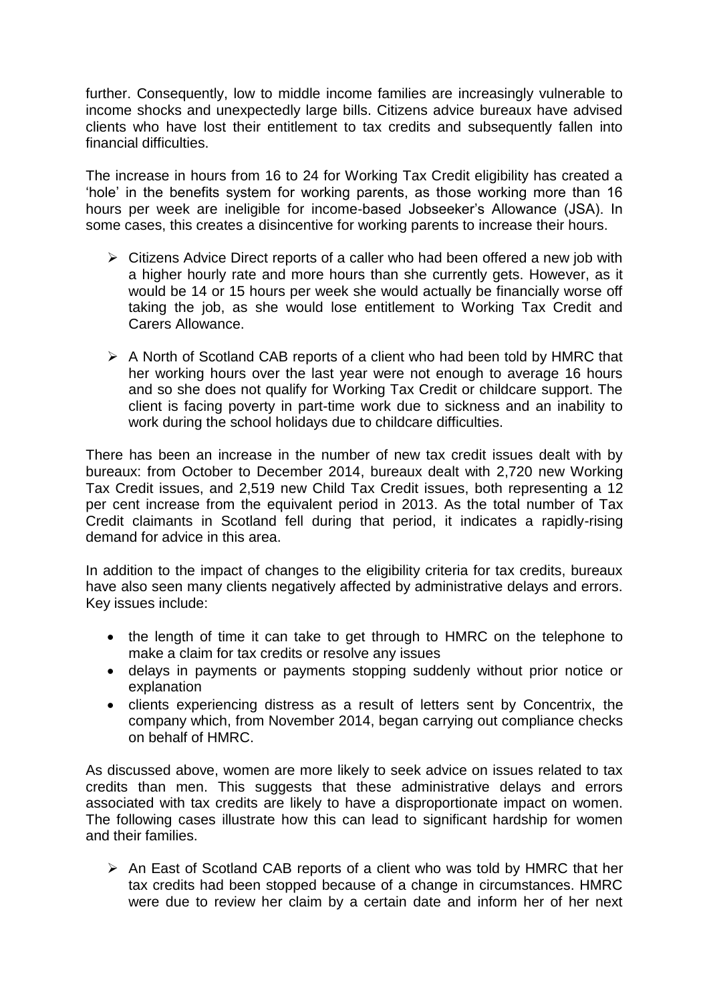further. Consequently, low to middle income families are increasingly vulnerable to income shocks and unexpectedly large bills. Citizens advice bureaux have advised clients who have lost their entitlement to tax credits and subsequently fallen into financial difficulties.

The increase in hours from 16 to 24 for Working Tax Credit eligibility has created a 'hole' in the benefits system for working parents, as those working more than 16 hours per week are ineligible for income-based Jobseeker's Allowance (JSA). In some cases, this creates a disincentive for working parents to increase their hours.

- $\triangleright$  Citizens Advice Direct reports of a caller who had been offered a new job with a higher hourly rate and more hours than she currently gets. However, as it would be 14 or 15 hours per week she would actually be financially worse off taking the job, as she would lose entitlement to Working Tax Credit and Carers Allowance.
- $\triangleright$  A North of Scotland CAB reports of a client who had been told by HMRC that her working hours over the last year were not enough to average 16 hours and so she does not qualify for Working Tax Credit or childcare support. The client is facing poverty in part-time work due to sickness and an inability to work during the school holidays due to childcare difficulties.

There has been an increase in the number of new tax credit issues dealt with by bureaux: from October to December 2014, bureaux dealt with 2,720 new Working Tax Credit issues, and 2,519 new Child Tax Credit issues, both representing a 12 per cent increase from the equivalent period in 2013. As the total number of Tax Credit claimants in Scotland fell during that period, it indicates a rapidly-rising demand for advice in this area.

In addition to the impact of changes to the eligibility criteria for tax credits, bureaux have also seen many clients negatively affected by administrative delays and errors. Key issues include:

- the length of time it can take to get through to HMRC on the telephone to make a claim for tax credits or resolve any issues
- delays in payments or payments stopping suddenly without prior notice or explanation
- clients experiencing distress as a result of letters sent by Concentrix, the company which, from November 2014, began carrying out compliance checks on behalf of HMRC.

As discussed above, women are more likely to seek advice on issues related to tax credits than men. This suggests that these administrative delays and errors associated with tax credits are likely to have a disproportionate impact on women. The following cases illustrate how this can lead to significant hardship for women and their families.

 $\triangleright$  An East of Scotland CAB reports of a client who was told by HMRC that her tax credits had been stopped because of a change in circumstances. HMRC were due to review her claim by a certain date and inform her of her next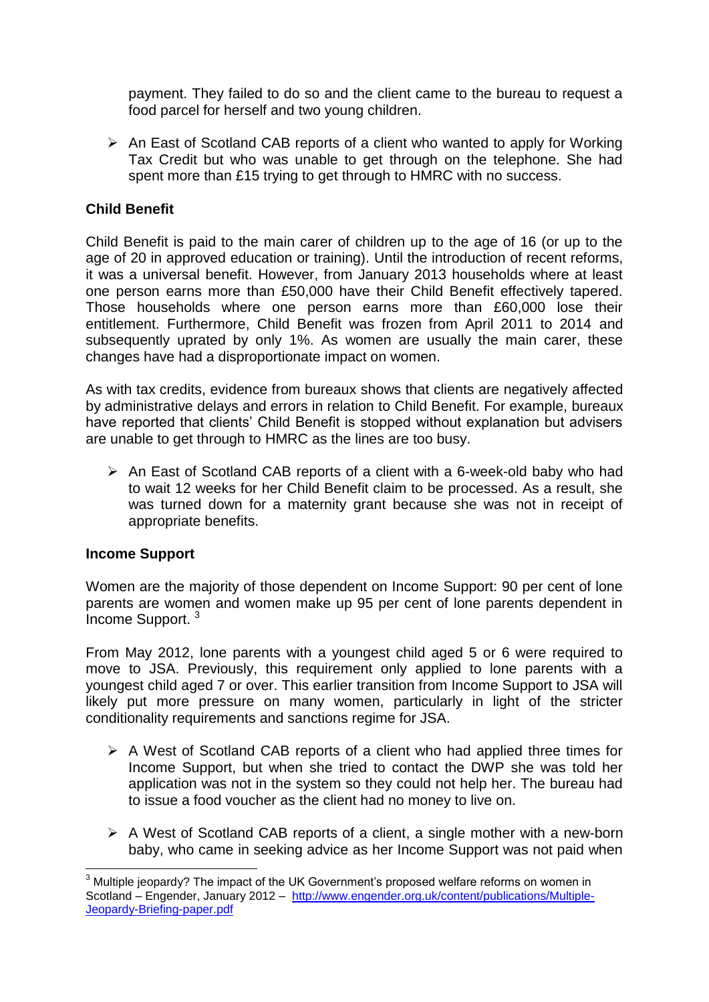payment. They failed to do so and the client came to the bureau to request a food parcel for herself and two young children.

 $\triangleright$  An East of Scotland CAB reports of a client who wanted to apply for Working Tax Credit but who was unable to get through on the telephone. She had spent more than £15 trying to get through to HMRC with no success.

## **Child Benefit**

Child Benefit is paid to the main carer of children up to the age of 16 (or up to the age of 20 in approved education or training). Until the introduction of recent reforms, it was a universal benefit. However, from January 2013 households where at least one person earns more than £50,000 have their Child Benefit effectively tapered. Those households where one person earns more than £60,000 lose their entitlement. Furthermore, Child Benefit was frozen from April 2011 to 2014 and subsequently uprated by only 1%. As women are usually the main carer, these changes have had a disproportionate impact on women.

As with tax credits, evidence from bureaux shows that clients are negatively affected by administrative delays and errors in relation to Child Benefit. For example, bureaux have reported that clients' Child Benefit is stopped without explanation but advisers are unable to get through to HMRC as the lines are too busy.

 $\triangleright$  An East of Scotland CAB reports of a client with a 6-week-old baby who had to wait 12 weeks for her Child Benefit claim to be processed. As a result, she was turned down for a maternity grant because she was not in receipt of appropriate benefits.

### **Income Support**

Women are the majority of those dependent on Income Support: 90 per cent of lone parents are women and women make up 95 per cent of lone parents dependent in Income Support. <sup>3</sup>

From May 2012, lone parents with a youngest child aged 5 or 6 were required to move to JSA. Previously, this requirement only applied to lone parents with a youngest child aged 7 or over. This earlier transition from Income Support to JSA will likely put more pressure on many women, particularly in light of the stricter conditionality requirements and sanctions regime for JSA.

- $\triangleright$  A West of Scotland CAB reports of a client who had applied three times for Income Support, but when she tried to contact the DWP she was told her application was not in the system so they could not help her. The bureau had to issue a food voucher as the client had no money to live on.
- $\triangleright$  A West of Scotland CAB reports of a client, a single mother with a new-born baby, who came in seeking advice as her Income Support was not paid when

 $\overline{a}$  $3$  Multiple ieopardy? The impact of the UK Government's proposed welfare reforms on women in Scotland – Engender, January 2012 – [http://www.engender.org.uk/content/publications/Multiple-](http://www.engender.org.uk/content/publications/Multiple-Jeopardy-Briefing-paper.pdf)[Jeopardy-Briefing-paper.pdf](http://www.engender.org.uk/content/publications/Multiple-Jeopardy-Briefing-paper.pdf)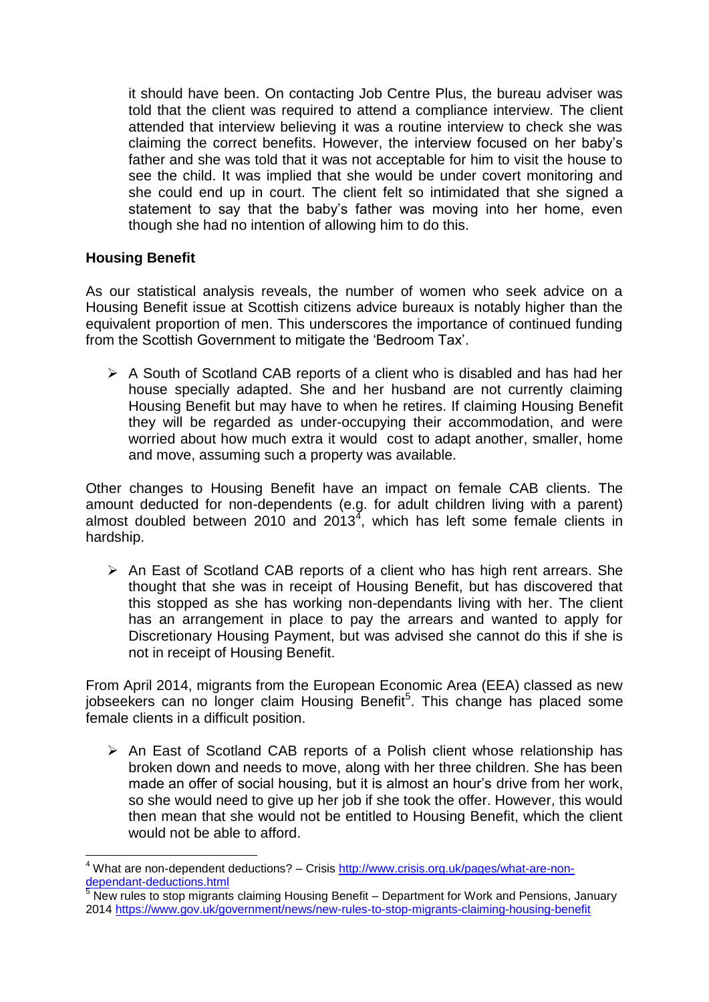it should have been. On contacting Job Centre Plus, the bureau adviser was told that the client was required to attend a compliance interview. The client attended that interview believing it was a routine interview to check she was claiming the correct benefits. However, the interview focused on her baby's father and she was told that it was not acceptable for him to visit the house to see the child. It was implied that she would be under covert monitoring and she could end up in court. The client felt so intimidated that she signed a statement to say that the baby's father was moving into her home, even though she had no intention of allowing him to do this.

## **Housing Benefit**

**.** 

As our statistical analysis reveals, the number of women who seek advice on a Housing Benefit issue at Scottish citizens advice bureaux is notably higher than the equivalent proportion of men. This underscores the importance of continued funding from the Scottish Government to mitigate the 'Bedroom Tax'.

 $\triangleright$  A South of Scotland CAB reports of a client who is disabled and has had her house specially adapted. She and her husband are not currently claiming Housing Benefit but may have to when he retires. If claiming Housing Benefit they will be regarded as under-occupying their accommodation, and were worried about how much extra it would cost to adapt another, smaller, home and move, assuming such a property was available.

Other changes to Housing Benefit have an impact on female CAB clients. The amount deducted for non-dependents (e.g. for adult children living with a parent) almost doubled between 2010 and 2013<sup>4</sup>, which has left some female clients in hardship.

 $\triangleright$  An East of Scotland CAB reports of a client who has high rent arrears. She thought that she was in receipt of Housing Benefit, but has discovered that this stopped as she has working non-dependants living with her. The client has an arrangement in place to pay the arrears and wanted to apply for Discretionary Housing Payment, but was advised she cannot do this if she is not in receipt of Housing Benefit.

From April 2014, migrants from the European Economic Area (EEA) classed as new jobseekers can no longer claim Housing Benefit<sup>5</sup>. This change has placed some female clients in a difficult position.

 $\triangleright$  An East of Scotland CAB reports of a Polish client whose relationship has broken down and needs to move, along with her three children. She has been made an offer of social housing, but it is almost an hour's drive from her work, so she would need to give up her job if she took the offer. However, this would then mean that she would not be entitled to Housing Benefit, which the client would not be able to afford.

<sup>4</sup> What are non-dependent deductions? – Crisis [http://www.crisis.org.uk/pages/what-are-non](http://www.crisis.org.uk/pages/what-are-non-dependant-deductions.html)[dependant-deductions.html](http://www.crisis.org.uk/pages/what-are-non-dependant-deductions.html)

<sup>5</sup> New rules to stop migrants claiming Housing Benefit – Department for Work and Pensions, January 2014<https://www.gov.uk/government/news/new-rules-to-stop-migrants-claiming-housing-benefit>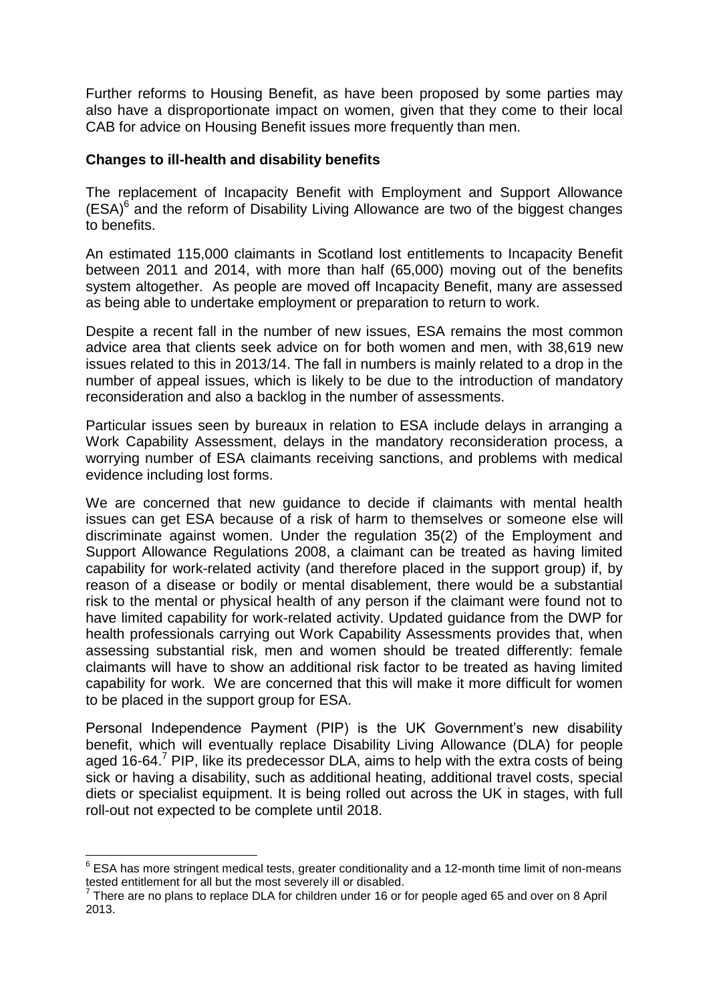Further reforms to Housing Benefit, as have been proposed by some parties may also have a disproportionate impact on women, given that they come to their local CAB for advice on Housing Benefit issues more frequently than men.

## **Changes to ill-health and disability benefits**

The replacement of Incapacity Benefit with Employment and Support Allowance  $(ESA)^6$  and the reform of Disability Living Allowance are two of the biggest changes to benefits.

An estimated 115,000 claimants in Scotland lost entitlements to Incapacity Benefit between 2011 and 2014, with more than half (65,000) moving out of the benefits system altogether. As people are moved off Incapacity Benefit, many are assessed as being able to undertake employment or preparation to return to work.

Despite a recent fall in the number of new issues, ESA remains the most common advice area that clients seek advice on for both women and men, with 38,619 new issues related to this in 2013/14. The fall in numbers is mainly related to a drop in the number of appeal issues, which is likely to be due to the introduction of mandatory reconsideration and also a backlog in the number of assessments.

Particular issues seen by bureaux in relation to ESA include delays in arranging a Work Capability Assessment, delays in the mandatory reconsideration process, a worrying number of ESA claimants receiving sanctions, and problems with medical evidence including lost forms.

We are concerned that new guidance to decide if claimants with mental health issues can get ESA because of a risk of harm to themselves or someone else will discriminate against women. Under the regulation 35(2) of the Employment and Support Allowance Regulations 2008, a claimant can be treated as having limited capability for work-related activity (and therefore placed in the support group) if, by reason of a disease or bodily or mental disablement, there would be a substantial risk to the mental or physical health of any person if the claimant were found not to have limited capability for work-related activity. Updated guidance from the DWP for health professionals carrying out Work Capability Assessments provides that, when assessing substantial risk, men and women should be treated differently: female claimants will have to show an additional risk factor to be treated as having limited capability for work. We are concerned that this will make it more difficult for women to be placed in the support group for ESA.

Personal Independence Payment (PIP) is the UK Government's new disability benefit, which will eventually replace Disability Living Allowance (DLA) for people aged 16-64.<sup>7</sup> PIP, like its predecessor DLA, aims to help with the extra costs of being sick or having a disability, such as additional heating, additional travel costs, special diets or specialist equipment. It is being rolled out across the UK in stages, with full roll-out not expected to be complete until 2018.

**<sup>.</sup>**  $6$  ESA has more stringent medical tests, greater conditionality and a 12-month time limit of non-means tested entitlement for all but the most severely ill or disabled.

 $7$  There are no plans to replace DLA for children under 16 or for people aged 65 and over on 8 April 2013.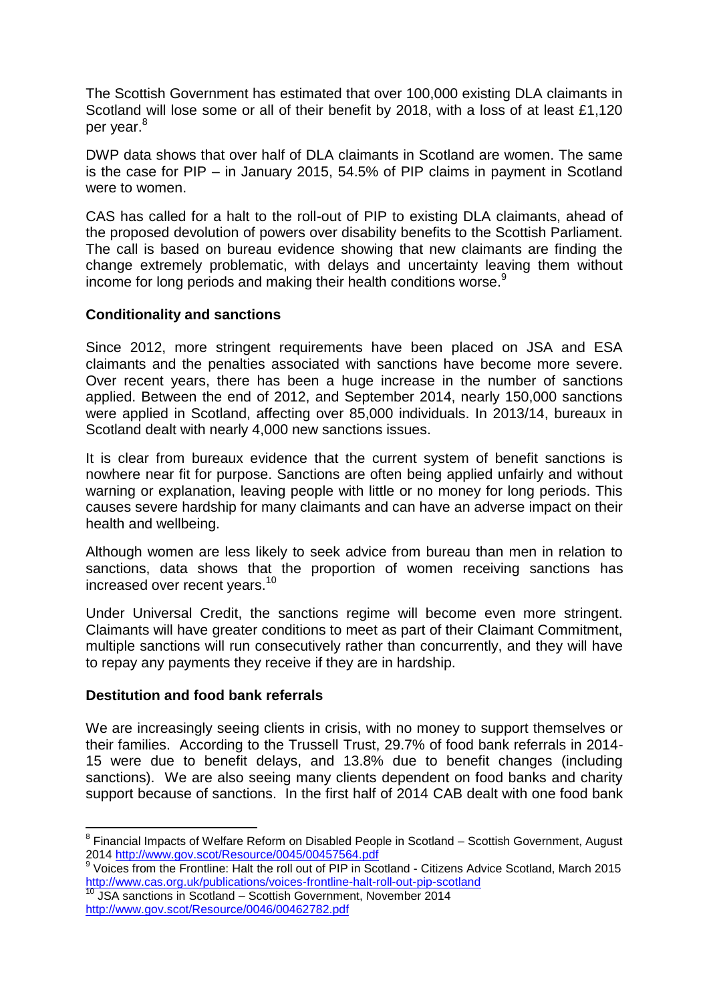The Scottish Government has estimated that over 100,000 existing DLA claimants in Scotland will lose some or all of their benefit by 2018, with a loss of at least £1,120 per year.<sup>8</sup>

DWP data shows that over half of DLA claimants in Scotland are women. The same is the case for PIP – in January 2015, 54.5% of PIP claims in payment in Scotland were to women.

CAS has called for a halt to the roll-out of PIP to existing DLA claimants, ahead of the proposed devolution of powers over disability benefits to the Scottish Parliament. The call is based on bureau evidence showing that new claimants are finding the change extremely problematic, with delays and uncertainty leaving them without income for long periods and making their health conditions worse.<sup>9</sup>

### **Conditionality and sanctions**

Since 2012, more stringent requirements have been placed on JSA and ESA claimants and the penalties associated with sanctions have become more severe. Over recent years, there has been a huge increase in the number of sanctions applied. Between the end of 2012, and September 2014, nearly 150,000 sanctions were applied in Scotland, affecting over 85,000 individuals. In 2013/14, bureaux in Scotland dealt with nearly 4,000 new sanctions issues.

It is clear from bureaux evidence that the current system of benefit sanctions is nowhere near fit for purpose. Sanctions are often being applied unfairly and without warning or explanation, leaving people with little or no money for long periods. This causes severe hardship for many claimants and can have an adverse impact on their health and wellbeing.

Although women are less likely to seek advice from bureau than men in relation to sanctions, data shows that the proportion of women receiving sanctions has increased over recent years.<sup>10</sup>

Under Universal Credit, the sanctions regime will become even more stringent. Claimants will have greater conditions to meet as part of their Claimant Commitment, multiple sanctions will run consecutively rather than concurrently, and they will have to repay any payments they receive if they are in hardship.

### **Destitution and food bank referrals**

We are increasingly seeing clients in crisis, with no money to support themselves or their families. According to the Trussell Trust, 29.7% of food bank referrals in 2014- 15 were due to benefit delays, and 13.8% due to benefit changes (including sanctions). We are also seeing many clients dependent on food banks and charity support because of sanctions. In the first half of 2014 CAB dealt with one food bank

\_\_\_\_\_\_\_\_\_\_\_\_\_\_\_\_\_\_\_\_\_\_\_\_\_\_\_\_\_\_\_\_\_\_<br><sup>8</sup> Financial Impacts of Welfare Reform on Disabled People in Scotland – Scottish Government, August 2014<http://www.gov.scot/Resource/0045/00457564.pdf><br><sup>9</sup> Voice from the Frentline: Helt the rell aut of BIB in Se

Voices from the Frontline: Halt the roll out of PIP in Scotland - Citizens Advice Scotland, March 2015 <http://www.cas.org.uk/publications/voices-frontline-halt-roll-out-pip-scotland>

<sup>&</sup>lt;sup>10</sup> JSA sanctions in Scotland – Scottish Government, November 2014 <http://www.gov.scot/Resource/0046/00462782.pdf>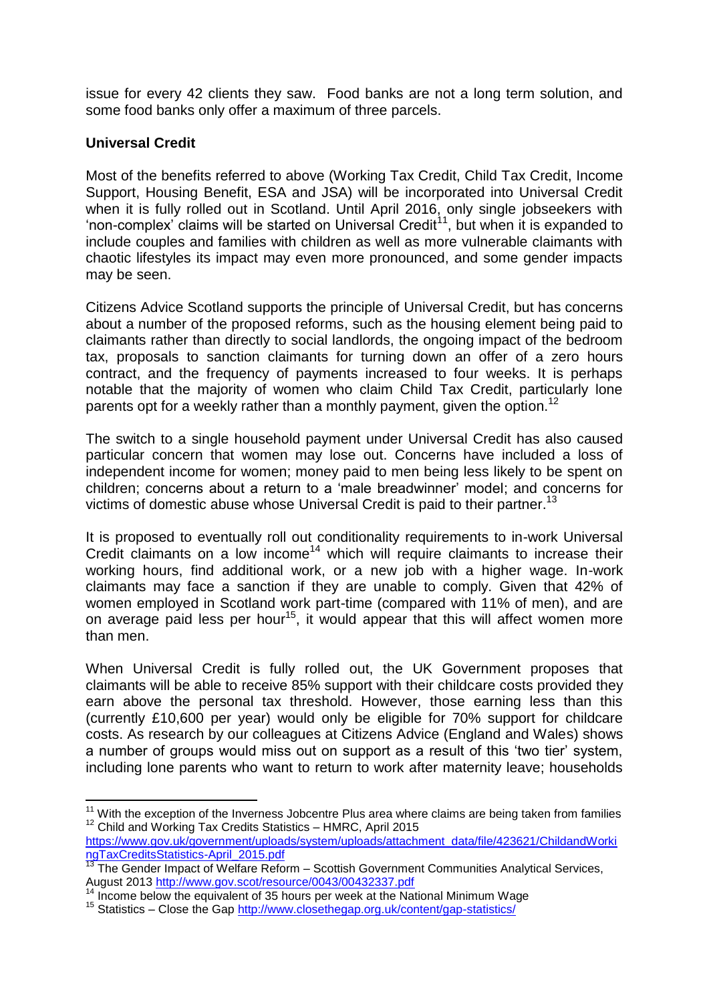issue for every 42 clients they saw. Food banks are not a long term solution, and some food banks only offer a maximum of three parcels.

# **Universal Credit**

Most of the benefits referred to above (Working Tax Credit, Child Tax Credit, Income Support, Housing Benefit, ESA and JSA) will be incorporated into Universal Credit when it is fully rolled out in Scotland. Until April 2016, only single jobseekers with 'non-complex' claims will be started on Universal Credit<sup>11</sup>, but when it is expanded to include couples and families with children as well as more vulnerable claimants with chaotic lifestyles its impact may even more pronounced, and some gender impacts may be seen.

Citizens Advice Scotland supports the principle of Universal Credit, but has concerns about a number of the proposed reforms, such as the housing element being paid to claimants rather than directly to social landlords, the ongoing impact of the bedroom tax, proposals to sanction claimants for turning down an offer of a zero hours contract, and the frequency of payments increased to four weeks. It is perhaps notable that the majority of women who claim Child Tax Credit, particularly lone parents opt for a weekly rather than a monthly payment, given the option.<sup>12</sup>

The switch to a single household payment under Universal Credit has also caused particular concern that women may lose out. Concerns have included a loss of independent income for women; money paid to men being less likely to be spent on children; concerns about a return to a 'male breadwinner' model; and concerns for victims of domestic abuse whose Universal Credit is paid to their partner.<sup>13</sup>

It is proposed to eventually roll out conditionality requirements to in-work Universal Credit claimants on a low income<sup>14</sup> which will require claimants to increase their working hours, find additional work, or a new job with a higher wage. In-work claimants may face a sanction if they are unable to comply. Given that 42% of women employed in Scotland work part-time (compared with 11% of men), and are on average paid less per hour<sup>15</sup>, it would appear that this will affect women more than men.

When Universal Credit is fully rolled out, the UK Government proposes that claimants will be able to receive 85% support with their childcare costs provided they earn above the personal tax threshold. However, those earning less than this (currently £10,600 per year) would only be eligible for 70% support for childcare costs. As research by our colleagues at Citizens Advice (England and Wales) shows a number of groups would miss out on support as a result of this 'two tier' system, including lone parents who want to return to work after maternity leave; households

**<sup>.</sup>**  $11$  With the exception of the Inverness Jobcentre Plus area where claims are being taken from families <sup>12</sup> Child and Working Tax Credits Statistics – HMRC, April 2015

[https://www.gov.uk/government/uploads/system/uploads/attachment\\_data/file/423621/ChildandWorki](https://www.gov.uk/government/uploads/system/uploads/attachment_data/file/423621/ChildandWorkingTaxCreditsStatistics-April_2015.pdf) [ngTaxCreditsStatistics-April\\_2015.pdf](https://www.gov.uk/government/uploads/system/uploads/attachment_data/file/423621/ChildandWorkingTaxCreditsStatistics-April_2015.pdf)

 $\frac{13}{13}$  The Gender Impact of Welfare Reform – Scottish Government Communities Analytical Services, August 2013<http://www.gov.scot/resource/0043/00432337.pdf>

Income below the equivalent of 35 hours per week at the National Minimum Wage

<sup>15</sup> Statistics – Close the Gap<http://www.closethegap.org.uk/content/gap-statistics/>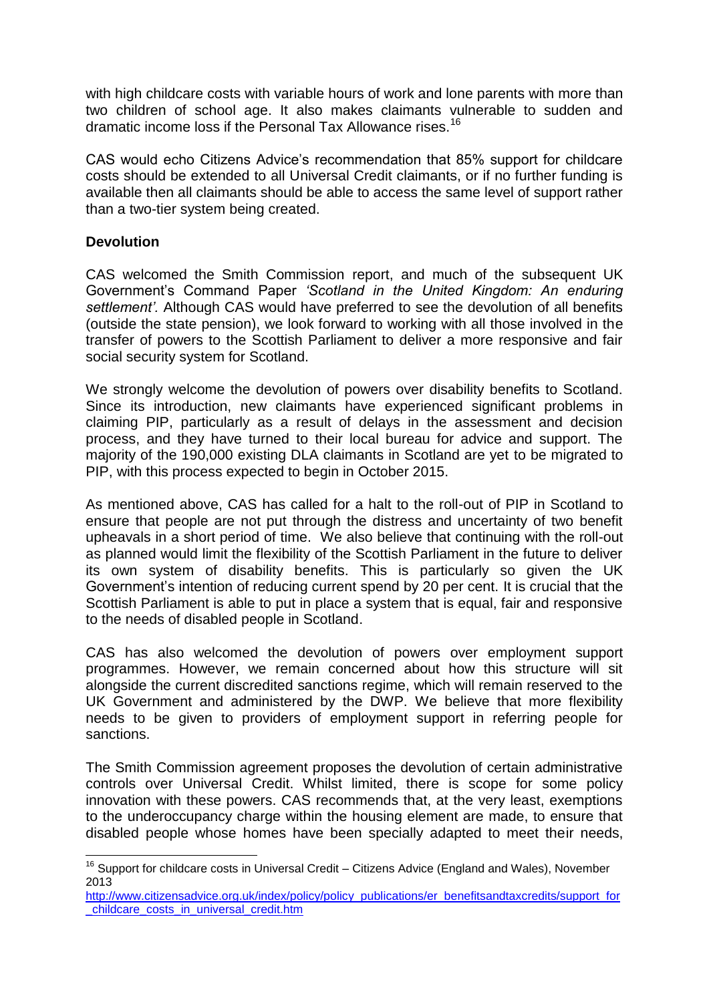with high childcare costs with variable hours of work and lone parents with more than two children of school age. It also makes claimants vulnerable to sudden and dramatic income loss if the Personal Tax Allowance rises.<sup>16</sup>

CAS would echo Citizens Advice's recommendation that 85% support for childcare costs should be extended to all Universal Credit claimants, or if no further funding is available then all claimants should be able to access the same level of support rather than a two-tier system being created.

### **Devolution**

**.** 

CAS welcomed the Smith Commission report, and much of the subsequent UK Government's Command Paper *'Scotland in the United Kingdom: An enduring settlement'.* Although CAS would have preferred to see the devolution of all benefits (outside the state pension), we look forward to working with all those involved in the transfer of powers to the Scottish Parliament to deliver a more responsive and fair social security system for Scotland.

We strongly welcome the devolution of powers over disability benefits to Scotland. Since its introduction, new claimants have experienced significant problems in claiming PIP, particularly as a result of delays in the assessment and decision process, and they have turned to their local bureau for advice and support. The majority of the 190,000 existing DLA claimants in Scotland are yet to be migrated to PIP, with this process expected to begin in October 2015.

As mentioned above, CAS has called for a halt to the roll-out of PIP in Scotland to ensure that people are not put through the distress and uncertainty of two benefit upheavals in a short period of time. We also believe that continuing with the roll-out as planned would limit the flexibility of the Scottish Parliament in the future to deliver its own system of disability benefits. This is particularly so given the UK Government's intention of reducing current spend by 20 per cent. It is crucial that the Scottish Parliament is able to put in place a system that is equal, fair and responsive to the needs of disabled people in Scotland.

CAS has also welcomed the devolution of powers over employment support programmes. However, we remain concerned about how this structure will sit alongside the current discredited sanctions regime, which will remain reserved to the UK Government and administered by the DWP. We believe that more flexibility needs to be given to providers of employment support in referring people for sanctions.

The Smith Commission agreement proposes the devolution of certain administrative controls over Universal Credit. Whilst limited, there is scope for some policy innovation with these powers. CAS recommends that, at the very least, exemptions to the underoccupancy charge within the housing element are made, to ensure that disabled people whose homes have been specially adapted to meet their needs,

 $16$  Support for childcare costs in Universal Credit – Citizens Advice (England and Wales), November 2013

[http://www.citizensadvice.org.uk/index/policy/policy\\_publications/er\\_benefitsandtaxcredits/support\\_for](http://www.citizensadvice.org.uk/index/policy/policy_publications/er_benefitsandtaxcredits/support_for_childcare_costs_in_universal_credit.htm) [\\_childcare\\_costs\\_in\\_universal\\_credit.htm](http://www.citizensadvice.org.uk/index/policy/policy_publications/er_benefitsandtaxcredits/support_for_childcare_costs_in_universal_credit.htm)